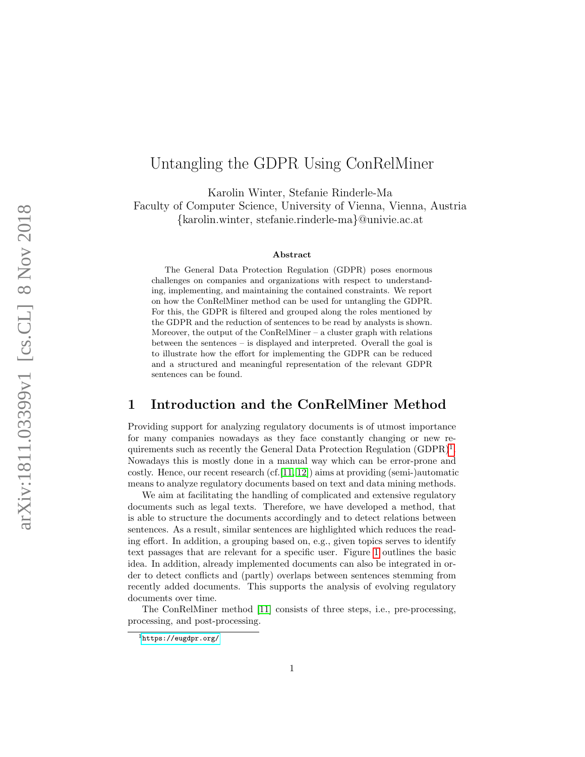# Untangling the GDPR Using ConRelMiner

Karolin Winter, Stefanie Rinderle-Ma

Faculty of Computer Science, University of Vienna, Vienna, Austria

{karolin.winter, stefanie.rinderle-ma}@univie.ac.at

#### Abstract

The General Data Protection Regulation (GDPR) poses enormous challenges on companies and organizations with respect to understanding, implementing, and maintaining the contained constraints. We report on how the ConRelMiner method can be used for untangling the GDPR. For this, the GDPR is filtered and grouped along the roles mentioned by the GDPR and the reduction of sentences to be read by analysts is shown. Moreover, the output of the ConRelMiner – a cluster graph with relations between the sentences – is displayed and interpreted. Overall the goal is to illustrate how the effort for implementing the GDPR can be reduced and a structured and meaningful representation of the relevant GDPR sentences can be found.

### 1 Introduction and the ConRelMiner Method

Providing support for analyzing regulatory documents is of utmost importance for many companies nowadays as they face constantly changing or new requirements such as recently the General Data Protection Regulation  $(GDPR)^1$  $(GDPR)^1$ . Nowadays this is mostly done in a manual way which can be error-prone and costly. Hence, our recent research  $(cf.[11, 12])$  $(cf.[11, 12])$  $(cf.[11, 12])$  $(cf.[11, 12])$  aims at providing (semi-)automatic means to analyze regulatory documents based on text and data mining methods.

We aim at facilitating the handling of complicated and extensive regulatory documents such as legal texts. Therefore, we have developed a method, that is able to structure the documents accordingly and to detect relations between sentences. As a result, similar sentences are highlighted which reduces the reading effort. In addition, a grouping based on, e.g., given topics serves to identify text passages that are relevant for a specific user. Figure [1](#page-1-0) outlines the basic idea. In addition, already implemented documents can also be integrated in order to detect conflicts and (partly) overlaps between sentences stemming from recently added documents. This supports the analysis of evolving regulatory documents over time.

The ConRelMiner method [\[11\]](#page-6-0) consists of three steps, i.e., pre-processing, processing, and post-processing.

<span id="page-0-0"></span><sup>1</sup><https://eugdpr.org/>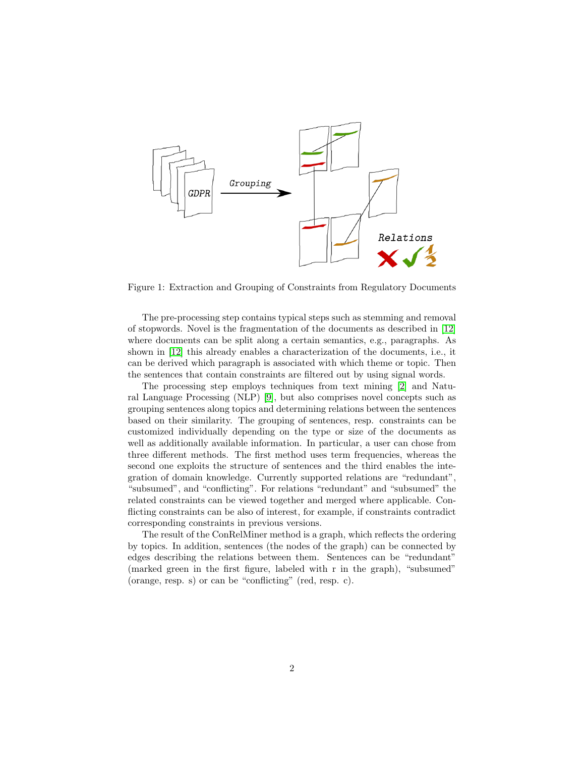

<span id="page-1-0"></span>Figure 1: Extraction and Grouping of Constraints from Regulatory Documents

The pre-processing step contains typical steps such as stemming and removal of stopwords. Novel is the fragmentation of the documents as described in [\[12\]](#page-6-1) where documents can be split along a certain semantics, e.g., paragraphs. As shown in [\[12\]](#page-6-1) this already enables a characterization of the documents, i.e., it can be derived which paragraph is associated with which theme or topic. Then the sentences that contain constraints are filtered out by using signal words.

The processing step employs techniques from text mining [\[2\]](#page-5-0) and Natural Language Processing (NLP) [\[9\]](#page-5-1), but also comprises novel concepts such as grouping sentences along topics and determining relations between the sentences based on their similarity. The grouping of sentences, resp. constraints can be customized individually depending on the type or size of the documents as well as additionally available information. In particular, a user can chose from three different methods. The first method uses term frequencies, whereas the second one exploits the structure of sentences and the third enables the integration of domain knowledge. Currently supported relations are "redundant", "subsumed", and "conflicting". For relations "redundant" and "subsumed" the related constraints can be viewed together and merged where applicable. Conflicting constraints can be also of interest, for example, if constraints contradict corresponding constraints in previous versions.

The result of the ConRelMiner method is a graph, which reflects the ordering by topics. In addition, sentences (the nodes of the graph) can be connected by edges describing the relations between them. Sentences can be "redundant" (marked green in the first figure, labeled with r in the graph), "subsumed" (orange, resp. s) or can be "conflicting" (red, resp. c).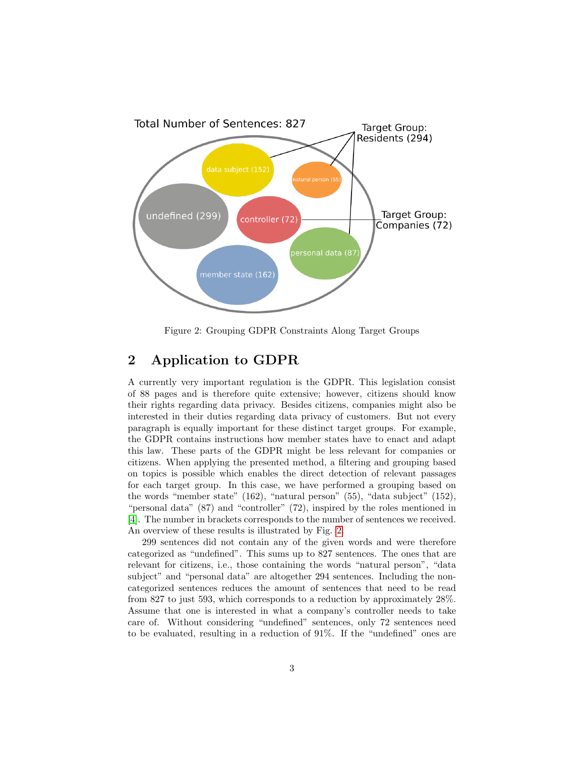

<span id="page-2-0"></span>Figure 2: Grouping GDPR Constraints Along Target Groups

### 2 Application to GDPR

A currently very important regulation is the GDPR. This legislation consist of 88 pages and is therefore quite extensive; however, citizens should know their rights regarding data privacy. Besides citizens, companies might also be interested in their duties regarding data privacy of customers. But not every paragraph is equally important for these distinct target groups. For example, the GDPR contains instructions how member states have to enact and adapt this law. These parts of the GDPR might be less relevant for companies or citizens. When applying the presented method, a filtering and grouping based on topics is possible which enables the direct detection of relevant passages for each target group. In this case, we have performed a grouping based on the words "member state" (162), "natural person" (55), "data subject" (152), "personal data" (87) and "controller" (72), inspired by the roles mentioned in [\[4\]](#page-5-2). The number in brackets corresponds to the number of sentences we received. An overview of these results is illustrated by Fig. [2.](#page-2-0)

299 sentences did not contain any of the given words and were therefore categorized as "undefined". This sums up to 827 sentences. The ones that are relevant for citizens, i.e., those containing the words "natural person", "data subject" and "personal data" are altogether 294 sentences. Including the noncategorized sentences reduces the amount of sentences that need to be read from 827 to just 593, which corresponds to a reduction by approximately 28%. Assume that one is interested in what a company's controller needs to take care of. Without considering "undefined" sentences, only 72 sentences need to be evaluated, resulting in a reduction of 91%. If the "undefined" ones are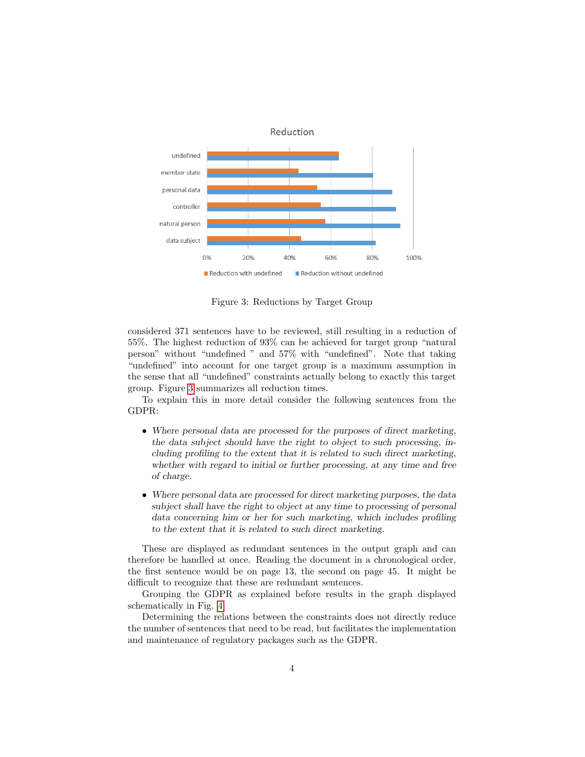

<span id="page-3-0"></span>Figure 3: Reductions by Target Group

considered 371 sentences have to be reviewed, still resulting in a reduction of 55%. The highest reduction of 93% can be achieved for target group "natural person" without "undefined " and 57% with "undefined". Note that taking "undefined" into account for one target group is a maximum assumption in the sense that all "undefined" constraints actually belong to exactly this target group. Figure [3](#page-3-0) summarizes all reduction times.

To explain this in more detail consider the following sentences from the GDPR:

- Where personal data are processed for the purposes of direct marketing, the data subject should have the right to object to such processing, including profiling to the extent that it is related to such direct marketing, whether with regard to initial or further processing, at any time and free of charge.
- Where personal data are processed for direct marketing purposes, the data subject shall have the right to object at any time to processing of personal data concerning him or her for such marketing, which includes profiling to the extent that it is related to such direct marketing.

These are displayed as redundant sentences in the output graph and can therefore be handled at once. Reading the document in a chronological order, the first sentence would be on page 13, the second on page 45. It might be difficult to recognize that these are redundant sentences.

Grouping the GDPR as explained before results in the graph displayed schematically in Fig. [4.](#page-4-0)

Determining the relations between the constraints does not directly reduce the number of sentences that need to be read, but facilitates the implementation and maintenance of regulatory packages such as the GDPR.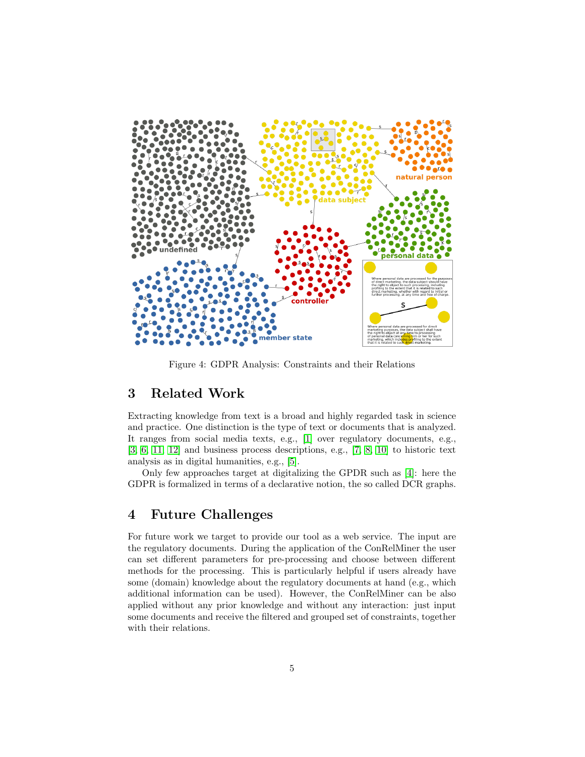

<span id="page-4-0"></span>Figure 4: GDPR Analysis: Constraints and their Relations

## 3 Related Work

Extracting knowledge from text is a broad and highly regarded task in science and practice. One distinction is the type of text or documents that is analyzed. It ranges from social media texts, e.g., [\[1\]](#page-5-3) over regulatory documents, e.g., [\[3,](#page-5-4) [6,](#page-5-5) [11,](#page-6-0) [12\]](#page-6-1) and business process descriptions, e.g., [\[7,](#page-5-6) [8,](#page-5-7) [10\]](#page-5-8) to historic text analysis as in digital humanities, e.g., [\[5\]](#page-5-9).

Only few approaches target at digitalizing the GPDR such as [\[4\]](#page-5-2): here the GDPR is formalized in terms of a declarative notion, the so called DCR graphs.

### 4 Future Challenges

For future work we target to provide our tool as a web service. The input are the regulatory documents. During the application of the ConRelMiner the user can set different parameters for pre-processing and choose between different methods for the processing. This is particularly helpful if users already have some (domain) knowledge about the regulatory documents at hand (e.g., which additional information can be used). However, the ConRelMiner can be also applied without any prior knowledge and without any interaction: just input some documents and receive the filtered and grouped set of constraints, together with their relations.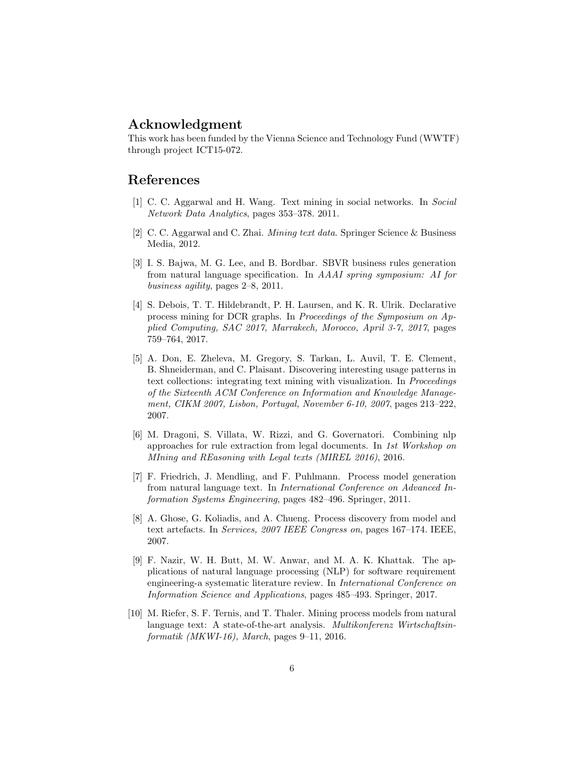### Acknowledgment

This work has been funded by the Vienna Science and Technology Fund (WWTF) through project ICT15-072.

### References

- <span id="page-5-3"></span>[1] C. C. Aggarwal and H. Wang. Text mining in social networks. In Social Network Data Analytics, pages 353–378. 2011.
- <span id="page-5-0"></span>[2] C. C. Aggarwal and C. Zhai. Mining text data. Springer Science & Business Media, 2012.
- <span id="page-5-4"></span>[3] I. S. Bajwa, M. G. Lee, and B. Bordbar. SBVR business rules generation from natural language specification. In AAAI spring symposium: AI for business agility, pages 2–8, 2011.
- <span id="page-5-2"></span>[4] S. Debois, T. T. Hildebrandt, P. H. Laursen, and K. R. Ulrik. Declarative process mining for DCR graphs. In Proceedings of the Symposium on Applied Computing, SAC 2017, Marrakech, Morocco, April 3-7, 2017, pages 759–764, 2017.
- <span id="page-5-9"></span>[5] A. Don, E. Zheleva, M. Gregory, S. Tarkan, L. Auvil, T. E. Clement, B. Shneiderman, and C. Plaisant. Discovering interesting usage patterns in text collections: integrating text mining with visualization. In Proceedings of the Sixteenth ACM Conference on Information and Knowledge Management, CIKM 2007, Lisbon, Portugal, November 6-10, 2007, pages 213–222, 2007.
- <span id="page-5-5"></span>[6] M. Dragoni, S. Villata, W. Rizzi, and G. Governatori. Combining nlp approaches for rule extraction from legal documents. In 1st Workshop on MIning and REasoning with Legal texts (MIREL 2016), 2016.
- <span id="page-5-6"></span>[7] F. Friedrich, J. Mendling, and F. Puhlmann. Process model generation from natural language text. In International Conference on Advanced Information Systems Engineering, pages 482–496. Springer, 2011.
- <span id="page-5-7"></span>[8] A. Ghose, G. Koliadis, and A. Chueng. Process discovery from model and text artefacts. In Services, 2007 IEEE Congress on, pages 167–174. IEEE, 2007.
- <span id="page-5-1"></span>[9] F. Nazir, W. H. Butt, M. W. Anwar, and M. A. K. Khattak. The applications of natural language processing (NLP) for software requirement engineering-a systematic literature review. In International Conference on Information Science and Applications, pages 485–493. Springer, 2017.
- <span id="page-5-8"></span>[10] M. Riefer, S. F. Ternis, and T. Thaler. Mining process models from natural language text: A state-of-the-art analysis. Multikonferenz Wirtschaftsin $formatik$  (MKWI-16), March, pages 9–11, 2016.